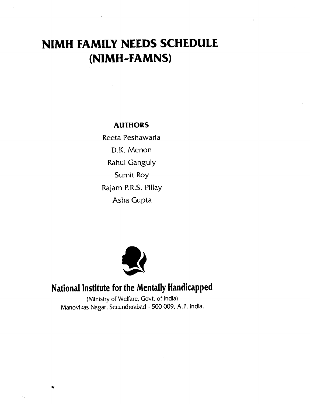# NIMH FAMILY NEEDS SCHEDULE (NIMH-FAMNS)

#### AUTHORS

Reeta Peshawaria D.K. Menon **Rahul Ganguly** Sumit Roy Rajam P.R.S. Pillay Asha Gupta



## National Institute for the Mentally Handicapped

(Ministry of Welfare, Govt. of India) Manovikas Nagar, Secunderabad - 500 009. A.P. India.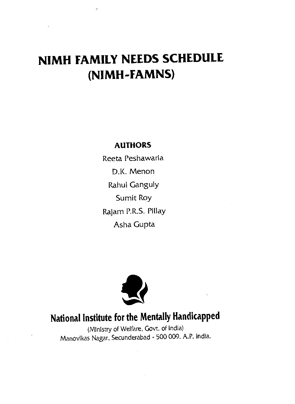# NIMH FAMILY NEEDS SCHEDULE (NIMH-FAMNS)

### AUTHORS

Reeta Peshawaria D.K. Menon Rahul Ganguly Sumit Roy Rajam P.R.S. Pillay Asha Gupta



# National Institute for the Mentally Handicapped

(Ministry of Welfare, Govt. of India) Manovikas Nagar, Secunderabad - 500 009. A.P. India.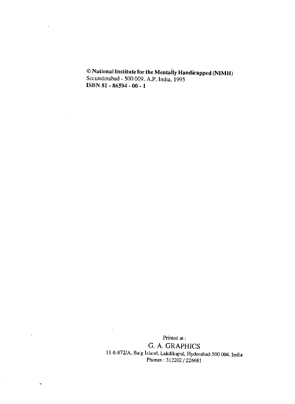© National Institute for the Mentally Handicapped (NIMH)<br>Secunderabad - 500 009. A.P. India. 1995 ISBN 81 - 86594 - 00 -

 $\sim$ 

 $\bar{z}$ 

 $\ddot{\phantom{1}}$ 

 $\sim$ 

 $\bar{z}$ 

 $\cdot$ 

Printed at: G. A. GRAPHICS 11-6-872/A, Baig Island, Lakdikapul, Hydcrabad-500 004. India Phones :312202/226681

 $\hat{A}$ 

 $\mathcal{L}_{\rm{max}}$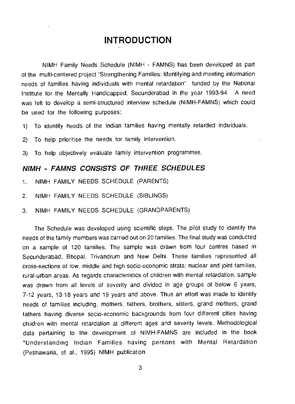### INTRODUCTION

NIMH Family Needs Schedule (NIMH - FAMNS) has been developed as part of the multi-centered project "Strengthening Families: Identifying and meeting information needs of families having individuals with mental retardation" funded by the National Institute for the Mentally Handicapped, Secunderabad in the year 1993-94. A need was felt to develop a semi-structured interview schedule (NIMH-FAMNS) which could be used for the following purposes:

- 1) To identify needs of the Indian families having mentally retarded individuals,
- 2) To help prioritise the needs for family intervention.
- 3) To help objectively evaluate family intervention programmes.

#### NIMH - FAMNS CONSISTS OF THREE SCHEDULES

- 1. NIMH FAMILY NEEDS SCHEDULE (PARENTS)
- 2. NIMH FAMILY NEEDS SCHEDULE (SIBLINGS)
- 3. NIMH FAMILY NEEDS SCHEDULE (GRANDPARENTS)

The Schedule was developed using scientific steps. The pilot study to identify the needs of the family members was carried out on 20 families. The final study was conducted on a sample of 120 families. The sample was drawn from four centres based in Secunderabad, Bhopal, Trivandrum and New Delhi. These families represented all cross-sections of low, middle and high socio-economic strata; nuclear and joint families, rural-urban areas. As regards characteristics of children with mental retardation, sample was drawn from all levels of severity and divided in age groups of below 6 years, 7-12 years, 13-18 years and 19 years and above. Thus an effort was made to identify needs of families including, mothers, fathers, brothers, sisters, grand mothers, grand fathers having diverse socio-economic backgrounds from four different cities having children with mental retardation at different ages and severity levels. Methodological data pertaining to the development of NIMH-FAMNS are included in the book "Understanding Indian Families having persons with Mental Retardation (Peshawaria, et aI., 1995) NIMH publication.

3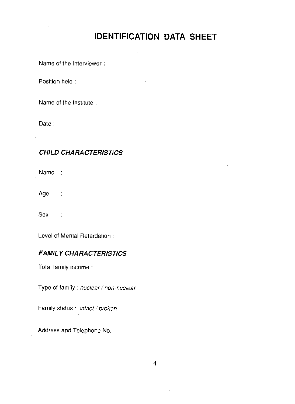### IDENTIFICATION DATA SHEET

Name of the Interviewer

Position held:

Name of the Institute

Date:

#### CHILD CHARACTERISTICS

Name :

Age :

Sex :

Level of Mental Retardation

#### **FAMILY CHARACTERISTICS**

Total family income

Type of family: nuclear / non-nuclear

 $\mathbf{r}$ 

Family status : intact / broken

Address and Telephone No.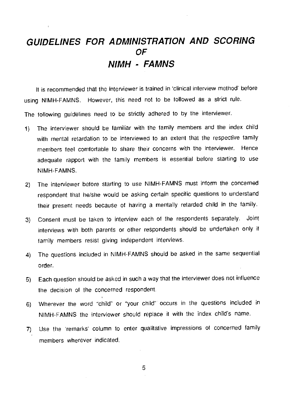### GUIDELINES FOR ADMINISTRATION AND SCORING OF NIMH - FAMNS

It is recommended that the interviewer is trained in 'clinical interview method' before using NIMH-FAMNS. However, this need not to be followed as a strict rule. The following guidelines need to be strictly adhered to by the interviewer.

- 1) The interviewer should be familiar with the family members and the index child with mental retardation to be interviewed to an extent that the respective family members feel comfortable to share their concerns with the interviewer. Hence adequate rapport with the family members is essential before starting to use NIMH-FAMNS.
- 2) The interviewer before starting to use NIMH-FAMNS must inform the concerned respondent that he/she would be asking certain specific questions to understand their present needs because of having a mentally retarded child in the family.
- 3) Consent must be taken to interview each of the respondents separately. Joint interviews with both parents or other respondents should be undertaken only ii family members resist giving independent interviews.
- 4) The questions included in NIMH-FAMNS should be asked in the same sequential order.
- 5) Each question should be asked in such a way that the interviewer does not influence the decision of the concerned respondent.
- 6) Wherever the word "child" or "your child' occurs in the questions included in NIMH-FAMNS the interviewer should replace it with the index child's name.
- 7) Use the 'remarks' column to enter qualitative impressions of concerned family members wherever indicated.

5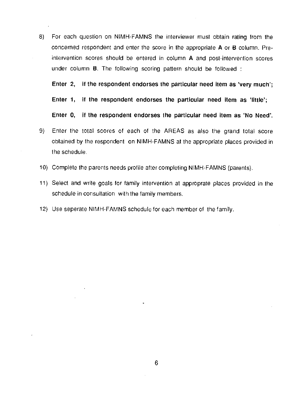8) For each question on NIMH-FAMNS the interviewer must obtain rating from the concerned respondent and enter the score in the appropriate A or B column. Preintervention scores should be entered in column A and post-intervention scores under column B. The following scoring pattern should be followed

Enter 2, it the respondent endorses the particular need item as 'very much';

Enter 1, if the respondent endorses the particular need item as 'little';

Enter 0, if the respondent endorses the particular need item as 'No Need'.

- 9) Enter the total scores of each of the AREAS as also the grand total score obtained by the respondent on NIMH-FAMNS at the appropriate places provided in the schedule.
- 10) Complete the parents needs profile after completing NIMH-FAMNS (parents).
- 11) Select and write goals for family intervention at approprate places provided in the schedule in consultation with the family members.
- 12) Use seperate NIMH-FAMNS schedule for each member of the family.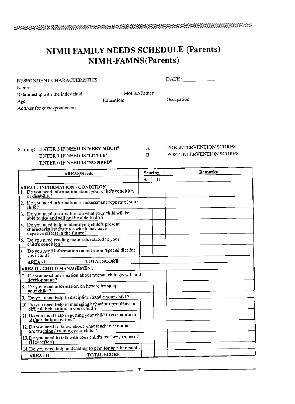### NIMH FAMILY NEEDS SCHEDULE (Parents) NIMH-FAMNS (Parents)

 $\text{DATE}:$ 

| Name:                              |               |             |  |
|------------------------------------|---------------|-------------|--|
| Relationship with the index child: | Mother/Father |             |  |
| Agc.                               | Education:    | Occupation: |  |
| Address for correspondence:        |               |             |  |

#### Scoring: ENTER 2 IF NEED 15 'VERY MUCH" ENTER 1 IF NEED IS "LITTLE" ENTER 0 IF NEED IS "NO NEED"

#### A PRE-INTERVENTION SCORES

B POST-INTERVENTION SCORES

| <b>AREAS/Needs</b>                                                                                                                |   | Scoring | <b>Remarks</b> |
|-----------------------------------------------------------------------------------------------------------------------------------|---|---------|----------------|
|                                                                                                                                   | A | B       |                |
| AREA I - INFORMATION - CONDITION<br>1. Do you need information about your child's condition<br>or disability?                     |   |         |                |
| 2. Do you need information on assessment reports of your<br>child?                                                                |   |         |                |
| 3. Do you need information on what your child will be able to do? $\frac{1}{2}$                                                   |   |         |                |
| 4. Do you need help in identifying child's present<br>characteristics/ features which may have<br>negative effects in the future? |   |         |                |
| 5. Do you need reading materials related to your<br>child's condition ?                                                           |   |         |                |
| 6. Do you need information on nutrition /special dict for<br>vour child?                                                          |   |         |                |
| <b>TOTAL SCORE</b><br>AREA - I                                                                                                    |   |         |                |
| <b>AREA II - CHILD MANAGEMENT</b>                                                                                                 |   |         |                |
| 7. Do you need information about normal child growth and<br>devélopment?                                                          |   |         |                |
| 8. Do you need information on how to bring up<br>your child?                                                                      |   |         |                |
| 9. Do you need help to discipline /handle your child ?                                                                            |   |         |                |
| 10. Do you need help in managing behaviour problems or<br>difficult behaviours in your child?                                     |   |         |                |
| 11. Do you need help in getting your child to cooperate in<br>his/her daily activities?                                           |   |         |                |
| 12. Do you need to know about what teachers/ trainers<br>are teaching / training your child?                                      |   |         |                |
| 13. Do you need to talk with your child's teacher / trainer ?<br>(How often)                                                      |   |         |                |
| 14. Do you need help in deciding to plan for another child ?                                                                      |   |         |                |
| <b>TOTAL SCORE</b><br><b>AREA - II</b>                                                                                            |   |         |                |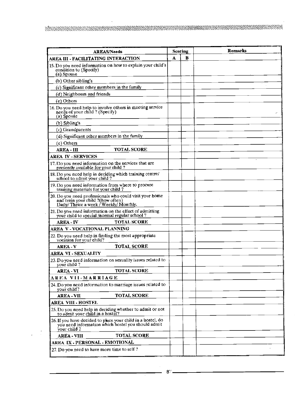$\bar{a}$ 

 $\ddot{\phantom{a}}$ 

| <b>AREAS/Needs</b>                                                                                                                      | Scoring |   | Remarks |
|-----------------------------------------------------------------------------------------------------------------------------------------|---------|---|---------|
| AREA III - FACILITATING INTERACTION                                                                                                     | A       | в |         |
| 15. Do you need information on how to explain your child's<br>condition to (Specify)<br>(a) Spouse                                      |         |   |         |
| (b) Other sibling's                                                                                                                     |         |   |         |
| (c) Significant other members in the family                                                                                             |         |   |         |
| (d) Neighbours and friends                                                                                                              |         |   |         |
| (e) Others                                                                                                                              |         |   |         |
| 16. Do you need help to involve others in mecting service<br>needs of your child? (Specify)<br>(a) Spouse                               |         |   |         |
| $(b)$ Sibling's                                                                                                                         |         |   |         |
| (c) Grandparents                                                                                                                        |         |   |         |
| (d) Significant other members in the family                                                                                             |         |   |         |
| (e) Others                                                                                                                              |         |   |         |
| <b>AREA - III</b><br><b>TOTAL SCORE</b>                                                                                                 |         |   |         |
| AREA IV - SERVICES                                                                                                                      |         |   |         |
| 17. Do you need information on the services that are<br>presently available for your child?                                             |         |   |         |
| 18. Do you need help in deciding which training centre/<br>school to admit your child?                                                  |         |   |         |
| 19. Do you need information from where to procure<br>training materials for your child?                                                 |         |   |         |
| 20. Do you need professionals who could visit your home<br>and train your child ?(how often)<br>Daily/ Thrice a week / Weekly/ Monthly. |         |   |         |
| 21. Do you need information on the effect of admitting<br>your child to special /normal regular school?                                 |         |   |         |
| AREA - IV<br><b>TOTAL SCORE</b>                                                                                                         |         |   |         |
| AREA V VOCATIONAL PLANNING                                                                                                              |         |   |         |
| 22. Do you need help in finding the most appropriate<br>vocation for your child?                                                        |         |   |         |
| <b>AREA - V</b><br><b>TOTAL SCORE</b>                                                                                                   |         |   |         |
| AREA VI - SEXUALITY                                                                                                                     |         |   |         |
| 23. Do you need information on sexuality issues related to<br>your child?                                                               |         |   |         |
| <b>TOTAL SCORE</b><br><b>AREA - VI</b>                                                                                                  |         |   |         |
| AREA VII-MARRIAGE                                                                                                                       |         |   |         |
| 24. Do you need information to marriage issues related to<br>your child?                                                                |         |   |         |
| <b>TOTAL SCORE</b><br><b>AREA - VII</b>                                                                                                 |         |   |         |
| AREA VIII - HOSTEL                                                                                                                      |         |   |         |
| 25. Do you need help in deciding whether to admit or not<br>to admit your child in a hostel?                                            |         |   |         |
| 26. If you have decided to place your child in a hostel, do<br>you need information which hostel you should admit<br>your child ?       |         |   |         |
| <b>AREA - VIII</b><br><b>TOTAL SCORE</b>                                                                                                |         |   |         |
| AREA IX - PERSONAL - EMOTIONAL                                                                                                          |         |   |         |
| 27. Do you need to have more time to self?                                                                                              |         |   |         |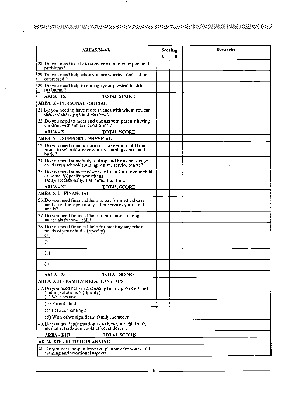$\cdot$ 

| <b>AREAS/Needs</b>                                                                                                                    | Scoring |   | <b>Remarks</b> |
|---------------------------------------------------------------------------------------------------------------------------------------|---------|---|----------------|
|                                                                                                                                       | А       | в |                |
| 28. Do you need to talk to someone about your personal<br>problems?                                                                   |         |   |                |
| 29. Do you need help when you are worried, feel sad or<br>depressed?                                                                  |         |   |                |
| 30. Do you need help to manage your physical health<br>problems?                                                                      |         |   |                |
| <b>AREA - IX</b><br><b>TOTAL SCORE</b>                                                                                                |         |   |                |
| AREA X - PERSONAL - SOCIAL                                                                                                            |         |   |                |
| 31. Do you need to have more friends with whom you can<br>discuss/share joys and sorrows?                                             |         |   |                |
| 32. Do you need to meet and discuss with parents having<br>children with similar conditions?                                          |         |   |                |
| <b>AREA X</b><br><b>TOTAL SCORE</b>                                                                                                   |         |   |                |
| AREA XI -SUPPORT - PHYSICAL                                                                                                           |         |   |                |
| 33. Do you need transportation to take your child from<br>home to school/service centre/training centre and<br>back?                  |         |   |                |
| 34. Do you need somebody to drop and bring back your<br>child from school/ training centre/ service centre?                           |         |   |                |
| 35. Do you need someone/ worker to look after your child<br>at home ?(Specify how often)<br>Daily/ Occasionally/ Part time/ Full time |         |   |                |
| AREA XI<br><b>TOTAL SCORE</b>                                                                                                         |         |   |                |
| AREA XII - FINANCIAL                                                                                                                  |         |   |                |
| 36. Do you need financial help to pay for medical care,<br>medicine, therapy, or any other services your child<br>needs?              |         |   |                |
| 37. Do you need financial help to purchase training<br>materials for your child?                                                      |         |   |                |
| 38. Do you need financial help for mecting any other<br>needs of your child ? (Specify)<br>(a)                                        |         |   |                |
| (b)                                                                                                                                   |         |   |                |
| (c)                                                                                                                                   |         |   |                |
| (d)                                                                                                                                   |         |   |                |
| AREA - XII<br><b>TOTAL SCORE</b>                                                                                                      |         |   |                |
| AREA-XIII - FAMILY RELATIONSHIPS                                                                                                      |         |   |                |
| 39. Do you need help in discussing family problems and<br>finding solutions? (Specify)<br>(a) With spouse                             |         |   |                |
| (b) Parent child                                                                                                                      |         |   |                |
| (c) Between sibling's                                                                                                                 |         |   |                |
| (d) With other significant family members                                                                                             |         |   |                |
| 40. Do you need information as to how your child with<br>mental retardation could effect children?                                    |         |   |                |
| <b>TOTAL SCORE</b><br><b>AREA XIII</b>                                                                                                |         |   |                |
| AREA XIV - FUTURE PLANNING                                                                                                            |         |   |                |
| 41. Do you need help in financial planning for your child<br>training and vocational aspects?                                         |         |   |                |

 $\mathcal{A}^{\mathcal{A}}$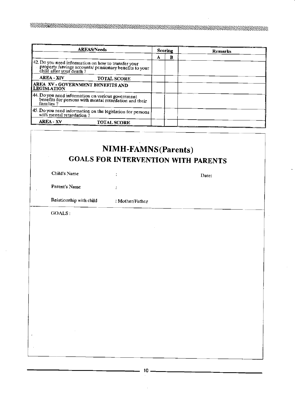| <b>AREAS/Needs</b>                                                                                                                       |   | Scoring | <b>Remarks</b> |
|------------------------------------------------------------------------------------------------------------------------------------------|---|---------|----------------|
|                                                                                                                                          | А | в       |                |
| 42. Do you need information on how to transfer your<br>property/savings accounts/ pensionary benefits to your<br>child after your death? |   |         |                |
| <b>AREA - XIV</b><br><b>TOTAL SCORE</b>                                                                                                  |   |         |                |
| AREA XV - GOVERNMENT BENEFITS AND<br><b>LEGISLATION</b>                                                                                  |   |         |                |
| 44. Do you need information on various government<br>benefits for persons with mental retardation and their<br>families?                 |   |         |                |
| $\vert$ 45. Do you need information on the legislation for persons<br>with mental retardation?                                           |   |         |                |
| <b>AREA XV</b><br><b>TOTAL SCORE</b>                                                                                                     |   |         |                |

| Child's Name            | ÷               | Date: |
|-------------------------|-----------------|-------|
| Parent's Name           | ÷               |       |
| Relationship with child | : Mother/Father |       |
| <b>GOALS:</b>           |                 |       |
|                         |                 |       |
|                         |                 |       |
|                         |                 |       |
|                         |                 |       |
|                         |                 |       |
|                         |                 |       |
|                         |                 |       |

10 \_\_\_\_\_\_\_\_\_\_\_\_\_\_\_\_\_\_\_\_\_\_\_\_\_\_\_\_\_\_\_\_\_\_\_\_\_\_\_\_\_\_\_\_  $\bar{z}$ 

J.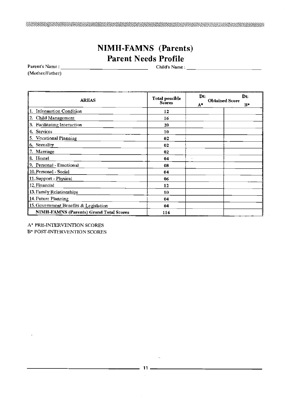### NIMH-FAMNS (Parents) Parent Needs Profile

Parent's Name: \_\_\_\_\_\_\_\_\_\_\_\_\_\_\_\_\_\_\_\_\_\_\_\_\_\_\_\_\_\_\_\_\_\_\_\_\_ Child's Name: —

-1

(Mother/Father)

| <b>AREAS</b>                                   | <b>Total possible</b><br>Scores | Dt:<br>$A^*$ | Dt:<br><b>Obtained Score</b><br>$R*$ |
|------------------------------------------------|---------------------------------|--------------|--------------------------------------|
| 1. Information Condition                       | 12                              |              |                                      |
| 2. Child Management                            | 16                              |              |                                      |
| Facilitating Interaction<br>3.                 | 20                              |              |                                      |
| Services<br>4.                                 | 10                              |              |                                      |
| <b>Vocational Planning</b><br>5.               | 02                              |              |                                      |
| Sexuality<br>6.                                | 02                              |              |                                      |
| Marriage<br>7.                                 | 02                              |              |                                      |
| 8 Hostel                                       | 04                              |              |                                      |
| 9. Personal - Emotional                        | 08                              |              |                                      |
| 10. Personal - Social                          | 04                              |              |                                      |
| 11. Support - Physical                         | 06                              |              |                                      |
| 12. Financial                                  | 12                              |              |                                      |
| 13. Family Relationships                       | 10                              |              |                                      |
| 14. Future Planning                            | 04                              |              |                                      |
| 15. Government Benefits & Legislation          | 04                              |              |                                      |
| <b>NIMH-FAMNS (Parents) Grand Total Scores</b> | 116                             |              |                                      |

A\* PRE-INTERVENTION SCORES

Bt POST-INTERVENTION SCORES

11 $\bar{z}$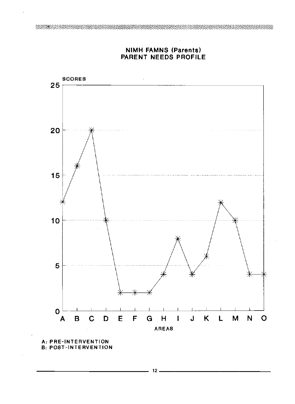

#### NIMH FAMNS (Parents) PARENT NEEDS PROFILE

A: PRE-INTERVENTION **B: POST-INTERVENTION**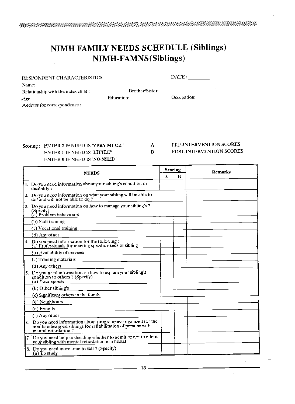### NIMH FAMILY NEEDS SCHEDULE (Siblings) NIMH-FAMNS(Siblings)

| RESPONDENT CHARACTERISTICS         |                       | $\text{DATE}:$ |
|------------------------------------|-----------------------|----------------|
| Name:                              |                       |                |
| Relationship with the index child: | <b>Brother/Sister</b> |                |
| $A$ ge:                            | Education:            | Occupation:    |
| Address for correspondence :       |                       |                |

#### Scoring: ENTER 2 IF NEED IS "VERY MUCH"  $\Lambda$  PRE-INTERVENTION SCORES ENTER 1 IF NEED IS "LITTLE" B POST-INTERVENTION SCORES ENTER 0 IF NEED IS "NO NEED"

NEEDS Scoring Remarks 1. Do you need information about your sibling's condition or disability? 2. Do you need information on what your sibling will be able to do/ and will not be able to do? 3. Do you need information on how to manage your sibling's? (Specify)<br>(a) Problem behaviours (h) Skill training (c) Vocational training (d) Any other 4. Do you need information for the following: (a) Professionals for meeting specific needs of sibling (h) Availability of services (c) Training materials (d)Anyothers 5. Do you need information on how to explain your sibling's condition to others ? (Specify) (a) Your spouse (b) Other sibling's (c) Significant others in the family (d) Neighbours (e) Friends (f) Any other 6. Do you need information about programmes organized for the non-handicapped siblings for rehabilitation of persons with mental retardation ? 7. Do you need help in deciding whether to admit or not to admit your sibling with mental retardation in a hostel 8. Do you need more time to self? (Specify) (a) To study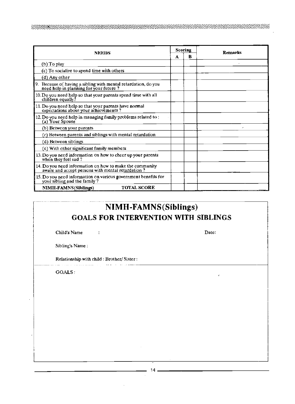| NEEDS                                                                                                         | Scoring<br><b>Remarks</b> |   |  |
|---------------------------------------------------------------------------------------------------------------|---------------------------|---|--|
|                                                                                                               | А                         | B |  |
| (b) To play                                                                                                   |                           |   |  |
| (c) To socialize to spend time with others                                                                    |                           |   |  |
| (d) Any other                                                                                                 |                           |   |  |
| 9. Because of having a sibling with mental retardation, do you need help in planning for your future $\eta$   |                           |   |  |
| 10. Do you need help so that your parents spend time with all children equally?                               |                           |   |  |
| 11. Do you need help so that your parents have normal<br>expectations about your achievements?                |                           |   |  |
| 12. Do you need help in managing family problems related to:<br>(a) Your Spouse                               |                           |   |  |
| (b) Between your parents                                                                                      |                           |   |  |
| (c) Between parents and siblings with mental retardation                                                      |                           |   |  |
| (d) Between siblings                                                                                          |                           |   |  |
| (e) With other significant family members                                                                     |                           |   |  |
| 13. Do you need information on how to cheer up your parents<br>when they feel sad?                            |                           |   |  |
| 14. Do you need information on how to make the community<br>aware and accept persons with mental retardation? |                           |   |  |
| 15. Do you need information on various government benefits for<br>your sibling and the family?                |                           |   |  |
| <b>TOTAL SCORE</b><br><b>NIMH-FAMNS</b> (Siblings)                                                            |                           |   |  |

### NIMH-FAMNS(Siblings) GOALS FOR INTERVENTION WITH SIBLINGS

 $\epsilon$ 

Child's Name : Date:

Sibling's Name:

Relationship with child : Brother/Sister:

المستحسنة والمناوب

سيوني البواريد الوافرون

 $\ddot{\phantom{a}}$ 

GOALS:

 $14 -$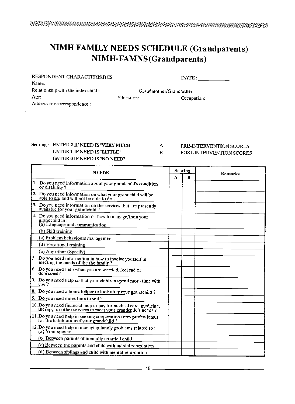### NIMH FAMILY NEEDS SCHEDULE (Grandparents) NIMH-FAMNS (Grandparents)

| RESPONDENT CHARACTERISTICS         |                         | $\text{DATE}$ : |
|------------------------------------|-------------------------|-----------------|
| Name:                              |                         |                 |
| Relationship with the index child: | Grandmother/Grandfather |                 |
| Age:                               | Education:              | Occupation:     |
| Address for correspondence:        |                         |                 |
|                                    |                         |                 |

### Scoring: ENTER 2 IF NEED IS "VERY MUCH" A PRE-INTERVENTION SCORES<br>ENTER 1 IF NEED IS "LITTLE" B POST-INTERVENTION SCORES ENTER 0 IF NEED IS "NO NEED"

ENTER 1 IF NEED IS "LITTLE" B POST-INTERVENTION SCORES

| <b>NEEDS</b>                                                                                                                  |  | Scoring | <b>Remarks</b> |  |
|-------------------------------------------------------------------------------------------------------------------------------|--|---------|----------------|--|
|                                                                                                                               |  | в       |                |  |
| 1. Do you need information about your grandchild's condition<br>or disability?                                                |  |         |                |  |
| 2. Do you need information on what your grandchild will be able to do/ and will not be able to do?                            |  |         |                |  |
| 3. Do you need information on the services that are presently<br>available for your grandchild?                               |  |         |                |  |
| 4. Do you need information on how to manage/train your<br>grandchild in:<br>(a) Language and communication                    |  |         |                |  |
| (b) Skill training                                                                                                            |  |         |                |  |
| (c) Problem behaviours management                                                                                             |  |         |                |  |
| (d) Vocational training                                                                                                       |  |         |                |  |
| (e) Any other (Specity)                                                                                                       |  |         |                |  |
| 5. Do you need information in how to involve yourself in<br>meeting the needs of the the family?                              |  |         |                |  |
| 6. Do you need help when you are worried, feel sad or<br>dcoressed?                                                           |  |         |                |  |
| 7. Do you need help so that your children spend more time with<br>vou?                                                        |  |         |                |  |
| 8. Do you need a home helper to look after your grandchild?                                                                   |  |         |                |  |
| $\vert$ 9. Do you need more time to self?                                                                                     |  |         |                |  |
| 10. Do you need financial help to pay for medical care, medicine, therapy, or other services to meet your grandchild's needs? |  |         |                |  |
| 11. Do you need help in seeking cooperation from professionals<br>for the habilitation of your grandchild?                    |  |         |                |  |
| 12. Do you need help in managing family problems related to :<br>(a) Your spouse                                              |  |         |                |  |
| (b) Between parents of mentally retarded child                                                                                |  |         |                |  |
| (c) Between the parents and child with mental retardation                                                                     |  |         |                |  |
| (d) Between siblings and child with mental retardation                                                                        |  |         |                |  |